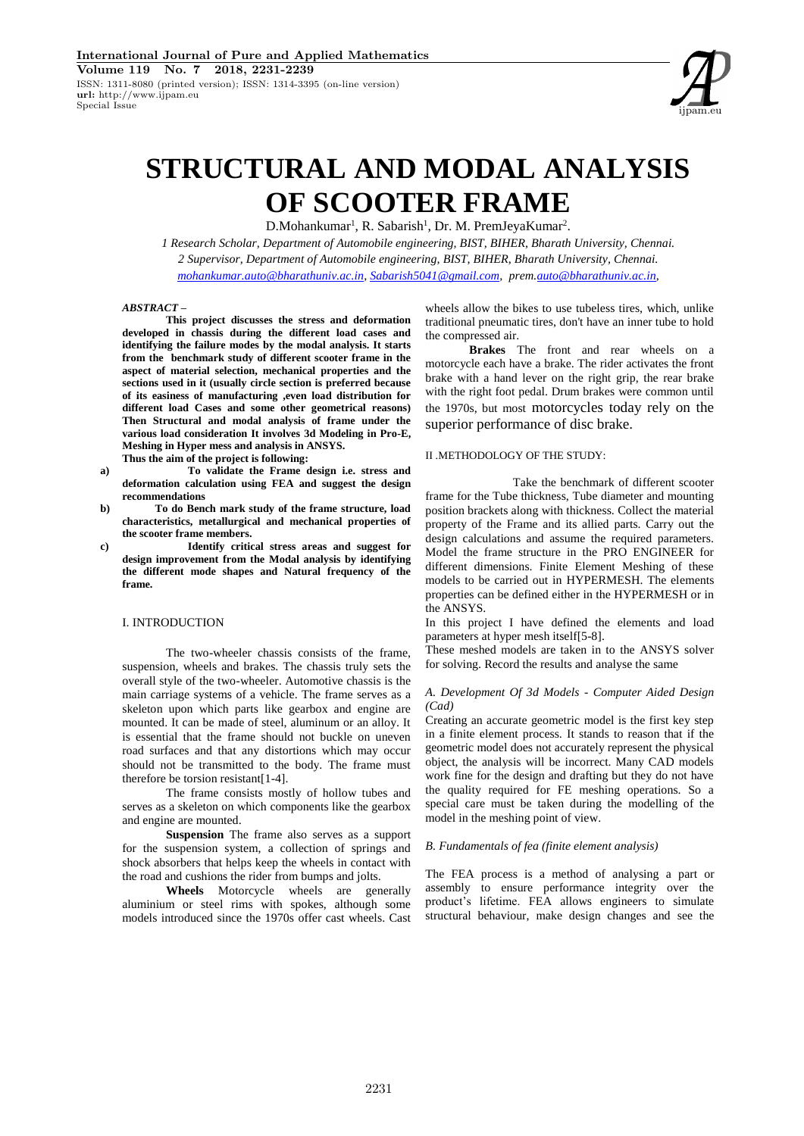

# **STRUCTURAL AND MODAL ANALYSIS OF SCOOTER FRAME**

D.Mohankumar<sup>1</sup>, R. Sabarish<sup>1</sup>, Dr. M. PremJeyaKumar<sup>2</sup>.

*1 Research Scholar, Department of Automobile engineering, BIST, BIHER, Bharath University, Chennai. 2 Supervisor, Department of Automobile engineering, BIST, BIHER, Bharath University, Chennai. mohankumar.auto@bharathuniv.ac.in, Sabarish5041@gmail.com, prem.auto@bharathuniv.ac.in,*

# *ABSTRACT* **–**

**This project discusses the stress and deformation developed in chassis during the different load cases and identifying the failure modes by the modal analysis. It starts from the benchmark study of different scooter frame in the aspect of material selection, mechanical properties and the sections used in it (usually circle section is preferred because of its easiness of manufacturing ,even load distribution for different load Cases and some other geometrical reasons) Then Structural and modal analysis of frame under the various load consideration It involves 3d Modeling in Pro-E, Meshing in Hyper mess and analysis in ANSYS. Thus the aim of the project is following:**

**a) To validate the Frame design i.e. stress and deformation calculation using FEA and suggest the design recommendations**

- **b) To do Bench mark study of the frame structure, load characteristics, metallurgical and mechanical properties of the scooter frame members.**
- **c) Identify critical stress areas and suggest for design improvement from the Modal analysis by identifying the different mode shapes and Natural frequency of the frame.**

#### I. INTRODUCTION

The two-wheeler chassis consists of the frame, suspension, wheels and brakes. The chassis truly sets the overall style of the two-wheeler. Automotive chassis is the main carriage systems of a vehicle. The frame serves as a skeleton upon which parts like gearbox and engine are mounted. It can be made of steel, aluminum or an alloy. It is essential that the frame should not buckle on uneven road surfaces and that any distortions which may occur should not be transmitted to the body. The frame must therefore be torsion resistant[1-4].

The frame consists mostly of hollow tubes and serves as a skeleton on which components like the gearbox and engine are mounted.

**Suspension** The frame also serves as a support for the suspension system, a collection of springs and shock absorbers that helps keep the wheels in contact with the road and cushions the rider from bumps and jolts.

**Wheels** Motorcycle wheels are generally aluminium or steel rims with spokes, although some models introduced since the 1970s offer cast wheels. Cast

wheels allow the bikes to use tubeless tires, which, unlike traditional pneumatic tires, don't have an inner tube to hold the compressed air.

**Brakes** The front and rear wheels on a motorcycle each have a brake. The rider activates the front brake with a hand lever on the right grip, the rear brake with the right foot pedal. Drum brakes were common until the 1970s, but most motorcycles today rely on the superior performance of disc brake.

## II .METHODOLOGY OF THE STUDY:

Take the benchmark of different scooter frame for the Tube thickness, Tube diameter and mounting position brackets along with thickness. Collect the material property of the Frame and its allied parts. Carry out the design calculations and assume the required parameters. Model the frame structure in the PRO ENGINEER for different dimensions. Finite Element Meshing of these models to be carried out in HYPERMESH. The elements properties can be defined either in the HYPERMESH or in the ANSYS.

In this project I have defined the elements and load parameters at hyper mesh itself[5-8].

These meshed models are taken in to the ANSYS solver for solving. Record the results and analyse the same

## *A. Development Of 3d Models - Computer Aided Design (Cad)*

Creating an accurate geometric model is the first key step in a finite element process. It stands to reason that if the geometric model does not accurately represent the physical object, the analysis will be incorrect. Many CAD models work fine for the design and drafting but they do not have the quality required for FE meshing operations. So a special care must be taken during the modelling of the model in the meshing point of view.

## *B. Fundamentals of fea (finite element analysis)*

The FEA process is a method of analysing a part or assembly to ensure performance integrity over the product's lifetime. FEA allows engineers to simulate structural behaviour, make design changes and see the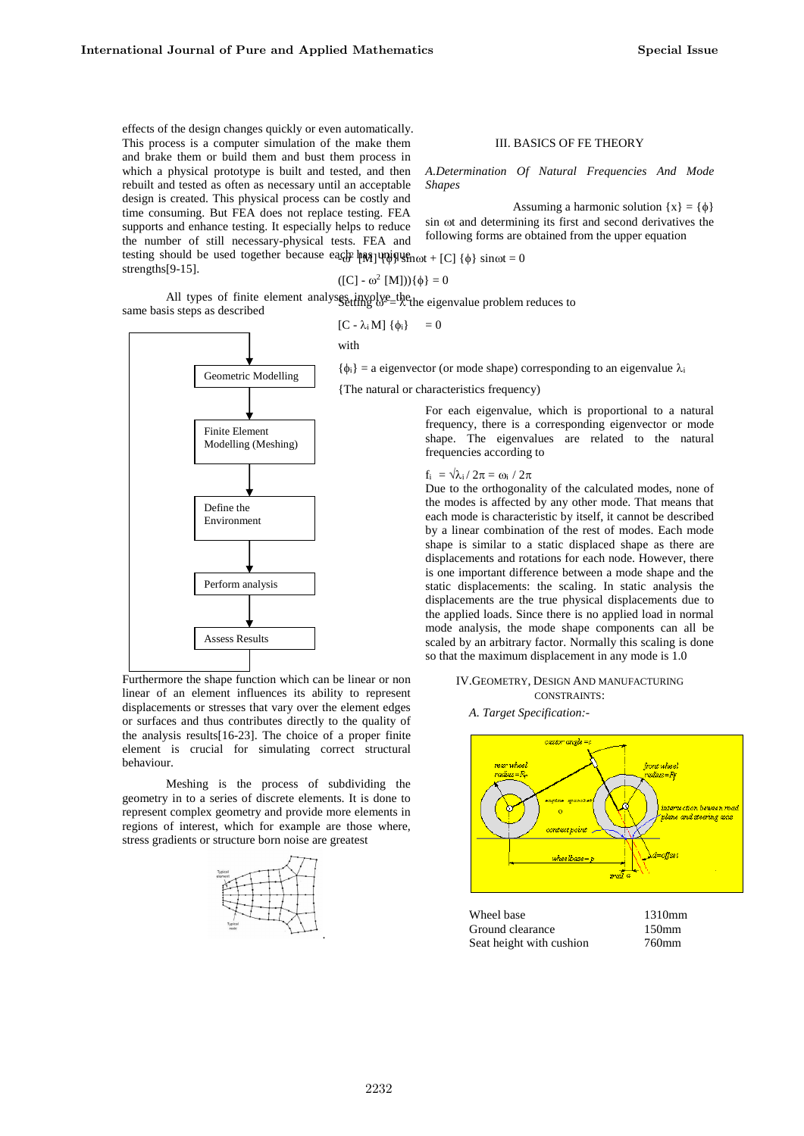effects of the design changes quickly or even automatically. This process is a computer simulation of the make them and brake them or build them and bust them process in which a physical prototype is built and tested, and then rebuilt and tested as often as necessary until an acceptable design is created. This physical process can be costly and time consuming. But FEA does not replace testing. FEA supports and enhance testing. It especially helps to reduce the number of still necessary-physical tests. FEA and

testing should be used together because each has unique  $\max + [C]$  { $\phi$ } sinct = 0 strengths[9-15].

with



Furthermore the shape function which can be linear or non linear of an element influences its ability to represent displacements or stresses that vary over the element edges or surfaces and thus contributes directly to the quality of the analysis results[16-23]. The choice of a proper finite element is crucial for simulating correct structural behaviour.

Meshing is the process of subdividing the geometry in to a series of discrete elements. It is done to represent complex geometry and provide more elements in regions of interest, which for example are those where, stress gradients or structure born noise are greatest



# III. BASICS OF FE THEORY

*A.Determination Of Natural Frequencies And Mode Shapes*

Assuming a harmonic solution  $\{x\} = \{\phi\}$ sin ot and determining its first and second derivatives the following forms are obtained from the upper equation

$$
([C] - \omega^2 [M]))\{\phi\} = 0
$$

All types of finite element analyses involve the eigenvalue problem reduces to same basis steps as described  $[C - \lambda_i M] {\phi_i} = 0$ 

 $\{\phi_i\}$  = a eigenvector (or mode shape) corresponding to an eigenvalue  $\lambda_i$ 

{The natural or characteristics frequency)

For each eigenvalue, which is proportional to a natural frequency, there is a corresponding eigenvector or mode shape. The eigenvalues are related to the natural frequencies according to

#### $f_i = \sqrt{\lambda_i / 2\pi} = \omega_i / 2\pi$

Due to the orthogonality of the calculated modes, none of the modes is affected by any other mode. That means that each mode is characteristic by itself, it cannot be described by a linear combination of the rest of modes. Each mode shape is similar to a static displaced shape as there are displacements and rotations for each node. However, there is one important difference between a mode shape and the static displacements: the scaling. In static analysis the displacements are the true physical displacements due to the applied loads. Since there is no applied load in normal mode analysis, the mode shape components can all be scaled by an arbitrary factor. Normally this scaling is done so that the maximum displacement in any mode is 1.0

## IV.GEOMETRY, DESIGN AND MANUFACTURING CONSTRAINTS:

#### *A. Target Specification:-*



Wheel base 1310mm Ground clearance 150mm Seat height with cushion 760mm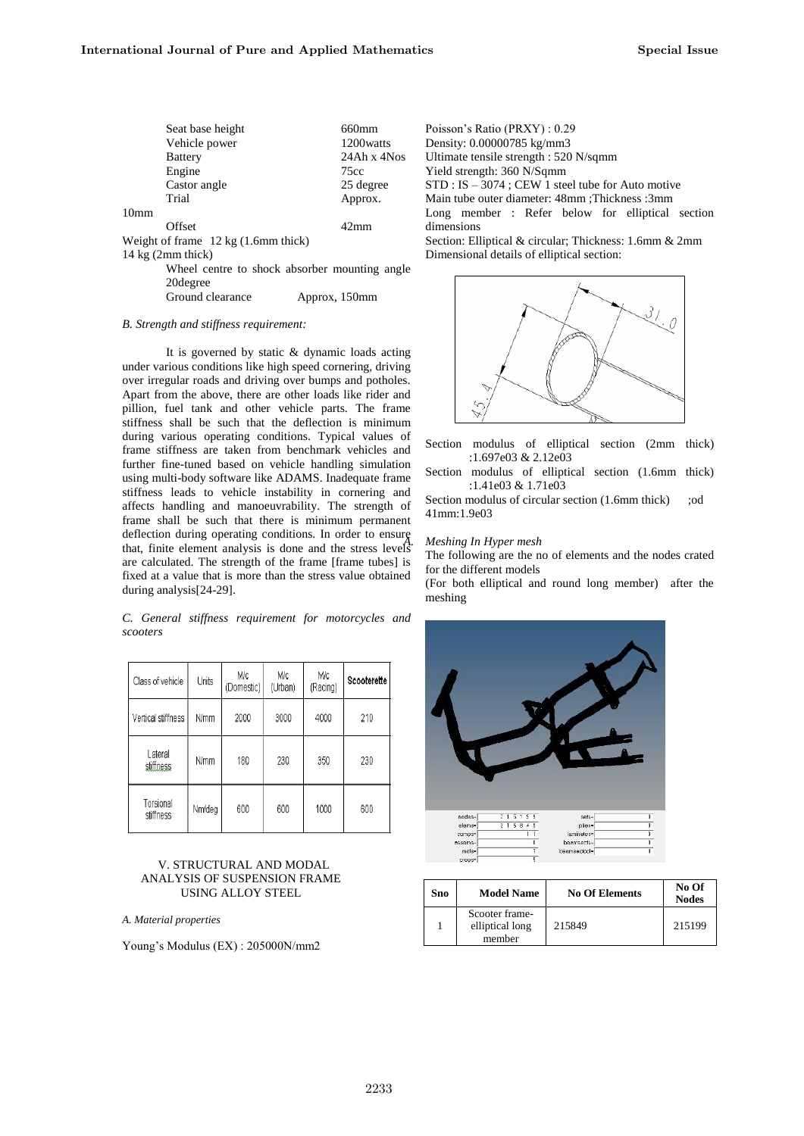| Seat base height                              | 660mm          | Poisson's Ratio (PRXY) : 0.29                          |
|-----------------------------------------------|----------------|--------------------------------------------------------|
| Vehicle power                                 | 1200 watts     | Density: 0.00000785 kg/mm3                             |
| <b>Battery</b>                                | $24Ahx$ 4Nos   | Ultimate tensile strength : 520 N/sqmm                 |
| Engine                                        | 75cc           | Yield strength: 360 N/Sqmm                             |
| Castor angle                                  | 25 degree      | $STD: IS - 3074$ ; CEW 1 steel tube for Auto motive    |
| Trial                                         | Approx.        | Main tube outer diameter: 48mm ; Thickness : 3mm       |
| 10 <sub>mm</sub>                              |                | Long member: Refer below for elliptical section        |
| Offset                                        | $42 \text{mm}$ | dimensions                                             |
| Weight of frame $12 \text{ kg}$ (1.6mm thick) |                | Section: Elliptical & circular; Thickness: 1.6mm & 2mm |
| 14 kg $(2mm$ thick)                           |                | Dimensional details of elliptical section:             |
| Wheel centre to shock absorber mounting angle |                |                                                        |
| 20 degree                                     |                |                                                        |
| Ground clearance<br>Approx, 150mm             |                |                                                        |

### *B. Strength and stiffness requirement:*

It is governed by static & dynamic loads acting under various conditions like high speed cornering, driving over irregular roads and driving over bumps and potholes. Apart from the above, there are other loads like rider and pillion, fuel tank and other vehicle parts. The frame stiffness shall be such that the deflection is minimum during various operating conditions. Typical values of frame stiffness are taken from benchmark vehicles and further fine-tuned based on vehicle handling simulation using multi-body software like ADAMS. Inadequate frame stiffness leads to vehicle instability in cornering and affects handling and manoeuvrability. The strength of frame shall be such that there is minimum permanent deflection during operating conditions. In order to ensure that, finite element analysis is done and the stress levels are calculated. The strength of the frame [frame tubes] is fixed at a value that is more than the stress value obtained during analysis[24-29].

*C. General stiffness requirement for motorcycles and scooters*

| Class of vehicle                 | Units       | M/c<br>(Domestic) | Mc<br>(Urban) | Мc<br>(Racing) | Scooterette |
|----------------------------------|-------------|-------------------|---------------|----------------|-------------|
| Vertical stiffness               | <b>N/mm</b> | 2000              | 3000          | 4000           | 210         |
| Lateral<br>stiffness             | <b>N/mm</b> | 180               | 230           | 350            | 230         |
| Torsional<br>Nm/deg<br>stiffness |             | 600               | 600           | 1000           | 600         |

# V. STRUCTURAL AND MODAL ANALYSIS OF SUSPENSION FRAME USING ALLOY STEEL

*A. Material properties*

Young's Modulus (EX) : 205000N/mm2



Section modulus of elliptical section (2mm thick) :1.697e03 & 2.12e03

Section modulus of elliptical section (1.6mm thick) :1.41e03 & 1.71e03

Section modulus of circular section (1.6mm thick) ;od 41mm:1.9e03

## *A. Meshing In Hyper mesh*

The following are the no of elements and the nodes crated for the different models

(For both elliptical and round long member) after the meshing



| Sno | <b>Model Name</b>                           | <b>No Of Elements</b> | No Of<br><b>Nodes</b> |
|-----|---------------------------------------------|-----------------------|-----------------------|
|     | Scooter frame-<br>elliptical long<br>member | 215849                | 215199                |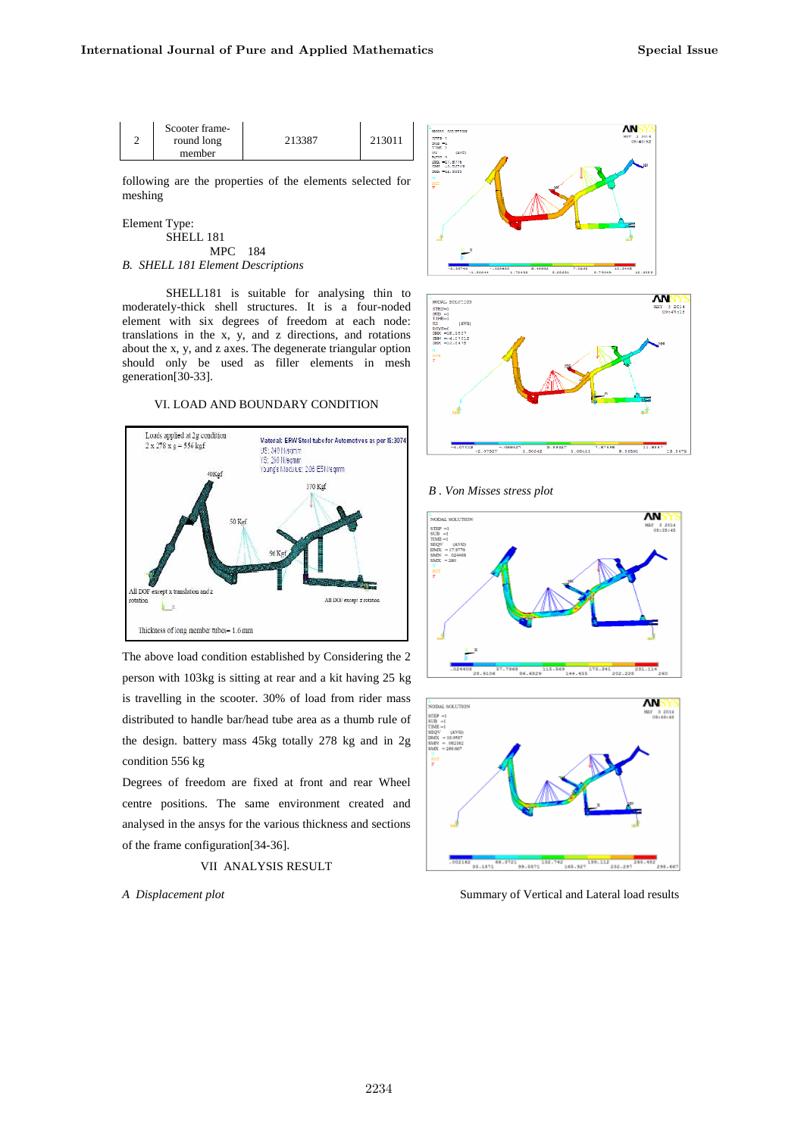| Scooter frame-<br>round long | 213387 | 213011 |
|------------------------------|--------|--------|
| member                       |        |        |

following are the properties of the elements selected for meshing

Element Type:

SHELL 181 MPC 184 *B. SHELL 181 Element Descriptions*

SHELL181 is suitable for analysing thin to moderately-thick shell structures. It is a four-noded element with six degrees of freedom at each node: translations in the x, y, and z directions, and rotations about the x, y, and z axes. The degenerate triangular option should only be used as filler elements in mesh generation[30-33].

VI. LOAD AND BOUNDARY CONDITION



The above load condition established by Considering the 2 person with 103kg is sitting at rear and a kit having 25 kg is travelling in the scooter. 30% of load from rider mass distributed to handle bar/head tube area as a thumb rule of the design. battery mass 45kg totally 278 kg and in 2g condition 556 kg

Degrees of freedom are fixed at front and rear Wheel centre positions. The same environment created and analysed in the ansys for the various thickness and sections of the frame configuration[34-36].

# VII ANALYSIS RESULT

*A Displacement plot*





*B . Von Misses stress plot*





Summary of Vertical and Lateral load results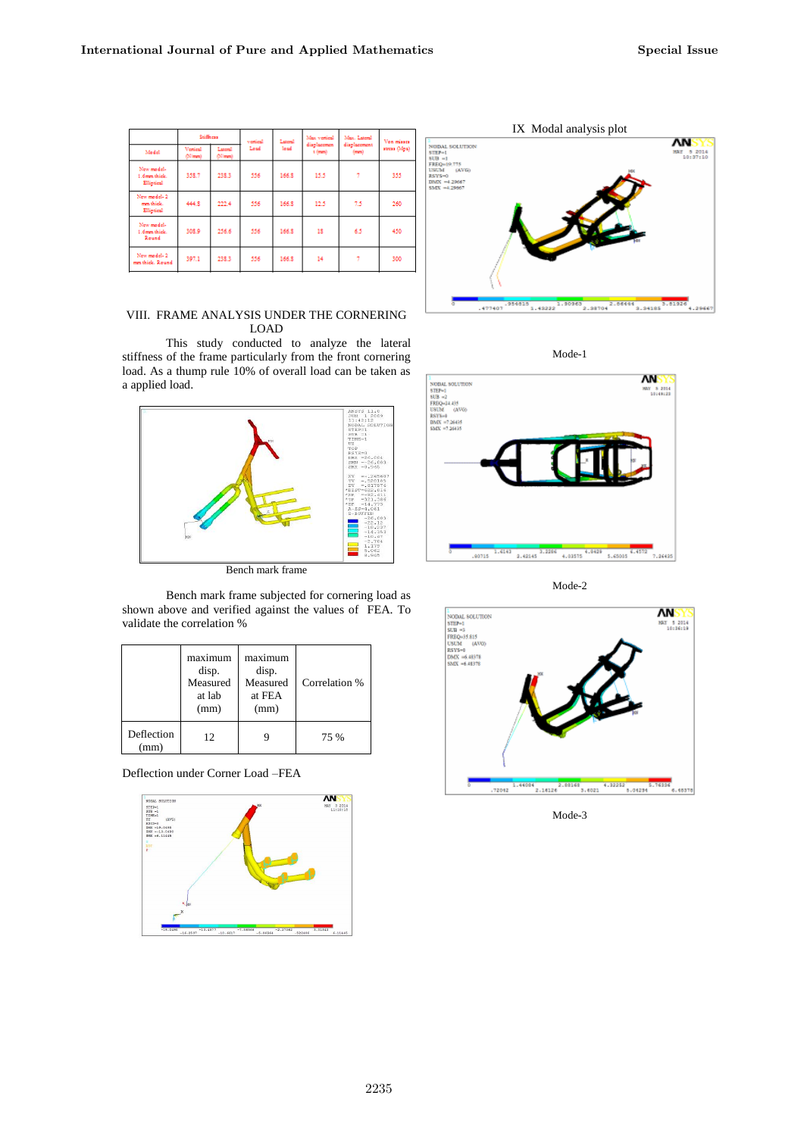|                                          | Stiffness                    |                         | vertical | Lateral     | Max vertical           | Max. Lateral         | Ven misses   |  |
|------------------------------------------|------------------------------|-------------------------|----------|-------------|------------------------|----------------------|--------------|--|
| Medel                                    | Vertical<br>$(N(\text{mm}))$ | Lateral<br>$(N(\pi m))$ | Load     | <b>load</b> | displacement<br>t (mm) | displacement<br>(mn) | stress (Mga) |  |
| New model-<br>1.6mm thick.<br>Elliptical | 358.7                        | 238.3                   | 556      | 166.8       | 15.5                   | Ť                    | 355          |  |
| New model-2<br>mm thick.<br>Elliptical   | 444.8                        | 222.4                   | 556      | 166.8       | 12.5                   | 7.5                  | 260          |  |
| New model-<br>1.6mm thick.<br>Round      | 308.9                        | 256.6                   | 556      | 166.8       | 18                     | 6.5                  | 450          |  |
| New model-2<br>mm thick. Round           | 397.1                        | 238.3                   | 556      | 166.8       | 14                     | 7                    | 300          |  |



This study conducted to analyze the lateral stiffness of the frame particularly from the front cornering load. As a thump rule 10% of overall load can be taken as a applied load.



Bench mark frame

Bench mark frame subjected for cornering load as shown above and verified against the values of FEA. To validate the correlation %

|                   | maximum<br>disp.<br>Measured<br>at lab<br>(mm) | maximum<br>disp.<br>Measured<br>at FEA<br>(mm) | Correlation % |
|-------------------|------------------------------------------------|------------------------------------------------|---------------|
| Deflection<br>mm) | 12                                             |                                                | 75 %          |

Deflection under Corner Load –FEA







Mode-2



Mode-3

Mode-1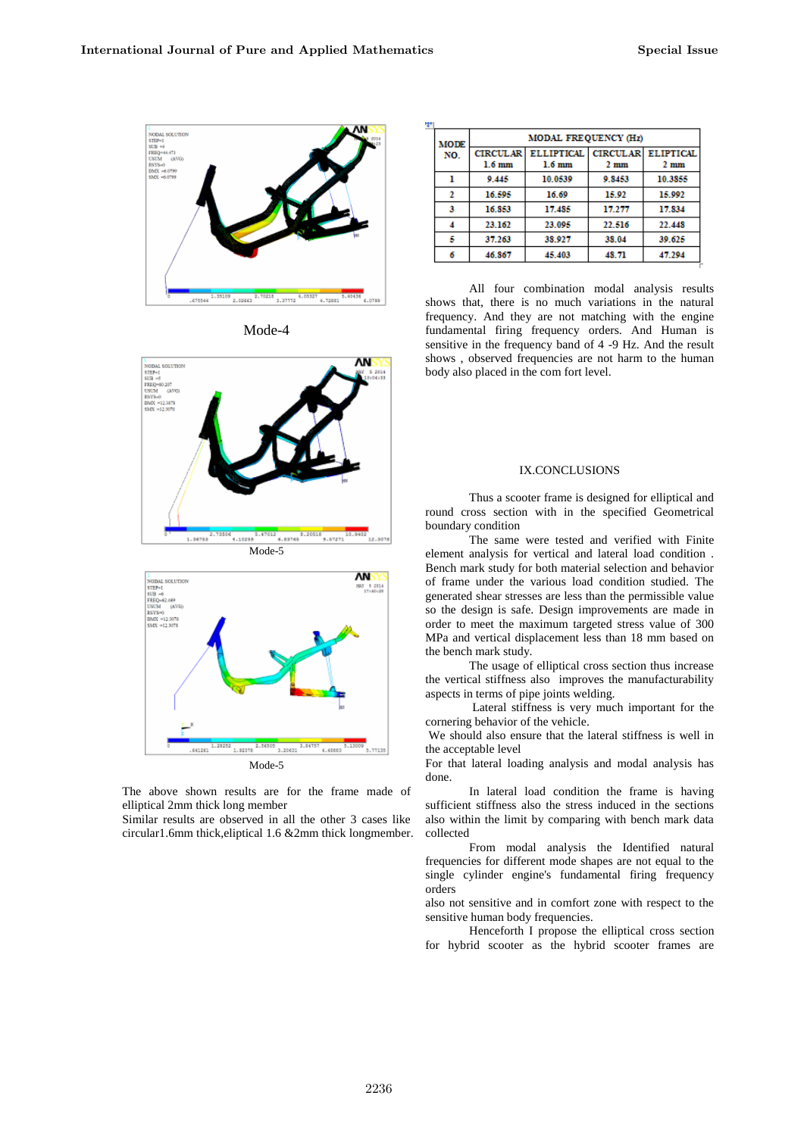

Mode-4





The above shown results are for the frame made of elliptical 2mm thick long member

Similar results are observed in all the other 3 cases like circular1.6mm thick,eliptical 1.6 &2mm thick longmember.

| ÷ |             |                      |                                   |        |                |  |  |
|---|-------------|----------------------|-----------------------------------|--------|----------------|--|--|
|   | <b>MODE</b> | MODAL FREQUENCY (Hz) |                                   |        |                |  |  |
|   | NO.         | <b>CIRCULAR</b>      | ELLIPTICAL   CIRCULAR   ELIPTICAL |        |                |  |  |
|   |             | $1.6 \text{ mm}$     | $1.6 \text{ mm}$                  | 2mm    | $2 \text{ mm}$ |  |  |
|   | 9.445       |                      | 10.0539                           | 0 8453 | 10.3855        |  |  |
|   |             | 16.595               | 16.69                             | 15.92  | 15.992         |  |  |
|   | 3           | 16.853               | 17.485                            | 17.277 | 17.834         |  |  |
|   |             | 23 162               | 23 095                            | 22.516 | 22.448         |  |  |
|   | 5           | 37.263               | 38 927                            | 38.04  | 39 625         |  |  |
|   | б           | 46.867               | 45.403                            | 48.71  | 47.294         |  |  |

All four combination modal analysis results shows that, there is no much variations in the natural frequency. And they are not matching with the engine fundamental firing frequency orders. And Human is sensitive in the frequency band of 4 -9 Hz. And the result shows , observed frequencies are not harm to the human body also placed in the com fort level.

# IX.CONCLUSIONS

Thus a scooter frame is designed for elliptical and round cross section with in the specified Geometrical boundary condition

The same were tested and verified with Finite element analysis for vertical and lateral load condition . Bench mark study for both material selection and behavior of frame under the various load condition studied. The generated shear stresses are less than the permissible value so the design is safe. Design improvements are made in order to meet the maximum targeted stress value of 300 MPa and vertical displacement less than 18 mm based on the bench mark study.

The usage of elliptical cross section thus increase the vertical stiffness also improves the manufacturability aspects in terms of pipe joints welding.

Lateral stiffness is very much important for the cornering behavior of the vehicle.

We should also ensure that the lateral stiffness is well in the acceptable level

For that lateral loading analysis and modal analysis has done.

In lateral load condition the frame is having sufficient stiffness also the stress induced in the sections also within the limit by comparing with bench mark data collected

From modal analysis the Identified natural frequencies for different mode shapes are not equal to the single cylinder engine's fundamental firing frequency orders

also not sensitive and in comfort zone with respect to the sensitive human body frequencies.

Henceforth I propose the elliptical cross section for hybrid scooter as the hybrid scooter frames are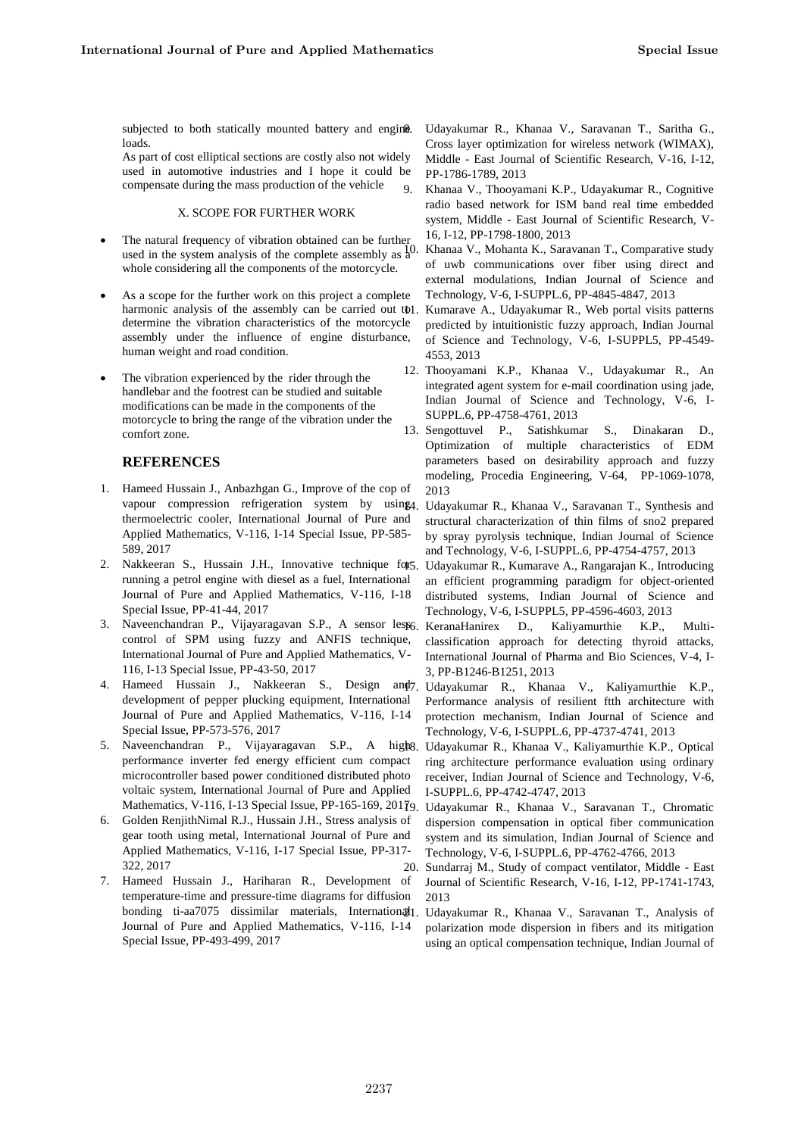subjected to both statically mounted battery and engine. loads.

As part of cost elliptical sections are costly also not widely used in automotive industries and I hope it could be compensate during the mass production of the vehicle

# X. SCOPE FOR FURTHER WORK

- The natural frequency of vibration obtained can be further used in the system analysis of the complete assembly as  $\frac{1}{4}$ . whole considering all the components of the motorcycle.
- As a scope for the further work on this project a complete harmonic analysis of the assembly can be carried out tol determine the vibration characteristics of the motorcycle assembly under the influence of engine disturbance, human weight and road condition.
- The vibration experienced by the rider through the handlebar and the footrest can be studied and suitable modifications can be made in the components of the motorcycle to bring the range of the vibration under the comfort zone.

# **REFERENCES**

- 1. Hameed Hussain J., Anbazhgan G., Improve of the cop of vapour compression refrigeration system by using4. thermoelectric cooler, International Journal of Pure and Applied Mathematics, V-116, I-14 Special Issue, PP-585- 589, 2017
- Nakkeeran S., Hussain J.H., Innovative technique for 5. running a petrol engine with diesel as a fuel, International Journal of Pure and Applied Mathematics, V-116, I-18 Special Issue, PP-41-44, 2017
- 3. Naveenchandran P., Vijayaragavan S.P., A sensor lest6, KeranaHanirex D., Kaliyamurthie K.P., Multicontrol of SPM using fuzzy and ANFIS technique, International Journal of Pure and Applied Mathematics, V-116, I-13 Special Issue, PP-43-50, 2017
- 4. Hameed Hussain J., Nakkeeran S., Design and 7 Udayakumar R., Khanaa V., Kaliyamurthie K.P., development of pepper plucking equipment, International Journal of Pure and Applied Mathematics, V-116, I-14 Special Issue, PP-573-576, 2017
- 5. Naveenchandran P., Vijayaragavan S.P., A high g, Udayakumar R., Khanaa V., Kaliyamurthie K.P., Optical performance inverter fed energy efficient cum compact microcontroller based power conditioned distributed photo voltaic system, International Journal of Pure and Applied Mathematics, V-116, I-13 Special Issue, PP-165-169, 2017 19. Udayakumar R., Khanaa V., Saravanan T., Chromatic
- 6. Golden RenjithNimal R.J., Hussain J.H., Stress analysis of gear tooth using metal, International Journal of Pure and Applied Mathematics, V-116, I-17 Special Issue, PP-317- 322, 2017
- 7. Hameed Hussain J., Hariharan R., Development of temperature-time and pressure-time diagrams for diffusion bonding ti-aa7075 dissimilar materials, International Journal of Pure and Applied Mathematics, V-116, I-14 Special Issue, PP-493-499, 2017

8. Udayakumar R., Khanaa V., Saravanan T., Saritha G., Cross layer optimization for wireless network (WIMAX), Middle - East Journal of Scientific Research, V-16, I-12, PP-1786-1789, 2013

9. Khanaa V., Thooyamani K.P., Udayakumar R., Cognitive radio based network for ISM band real time embedded system, Middle - East Journal of Scientific Research, V-16, I-12, PP-1798-1800, 2013

10. Khanaa V., Mohanta K., Saravanan T., Comparative study of uwb communications over fiber using direct and external modulations, Indian Journal of Science and Technology, V-6, I-SUPPL.6, PP-4845-4847, 2013

Kumarave A., Udayakumar R., Web portal visits patterns predicted by intuitionistic fuzzy approach, Indian Journal of Science and Technology, V-6, I-SUPPL5, PP-4549- 4553, 2013

- 12. Thooyamani K.P., Khanaa V., Udayakumar R., An integrated agent system for e-mail coordination using jade, Indian Journal of Science and Technology, V-6, I-SUPPL.6, PP-4758-4761, 2013
- 13. Sengottuvel P., Satishkumar S., Dinakaran D., Optimization of multiple characteristics of EDM parameters based on desirability approach and fuzzy modeling, Procedia Engineering, V-64, PP-1069-1078, 2013

Udayakumar R., Khanaa V., Saravanan T., Synthesis and structural characterization of thin films of sno2 prepared by spray pyrolysis technique, Indian Journal of Science and Technology, V-6, I-SUPPL.6, PP-4754-4757, 2013

15. Udayakumar R., Kumarave A., Rangarajan K., Introducing an efficient programming paradigm for object-oriented distributed systems, Indian Journal of Science and Technology, V-6, I-SUPPL5, PP-4596-4603, 2013

classification approach for detecting thyroid attacks, International Journal of Pharma and Bio Sciences, V-4, I-3, PP-B1246-B1251, 2013

Performance analysis of resilient ftth architecture with protection mechanism, Indian Journal of Science and Technology, V-6, I-SUPPL.6, PP-4737-4741, 2013

ring architecture performance evaluation using ordinary receiver, Indian Journal of Science and Technology, V-6, I-SUPPL.6, PP-4742-4747, 2013

dispersion compensation in optical fiber communication system and its simulation, Indian Journal of Science and Technology, V-6, I-SUPPL.6, PP-4762-4766, 2013

20. Sundarraj M., Study of compact ventilator, Middle - East Journal of Scientific Research, V-16, I-12, PP-1741-1743, 2013

21. Udayakumar R., Khanaa V., Saravanan T., Analysis of polarization mode dispersion in fibers and its mitigation using an optical compensation technique, Indian Journal of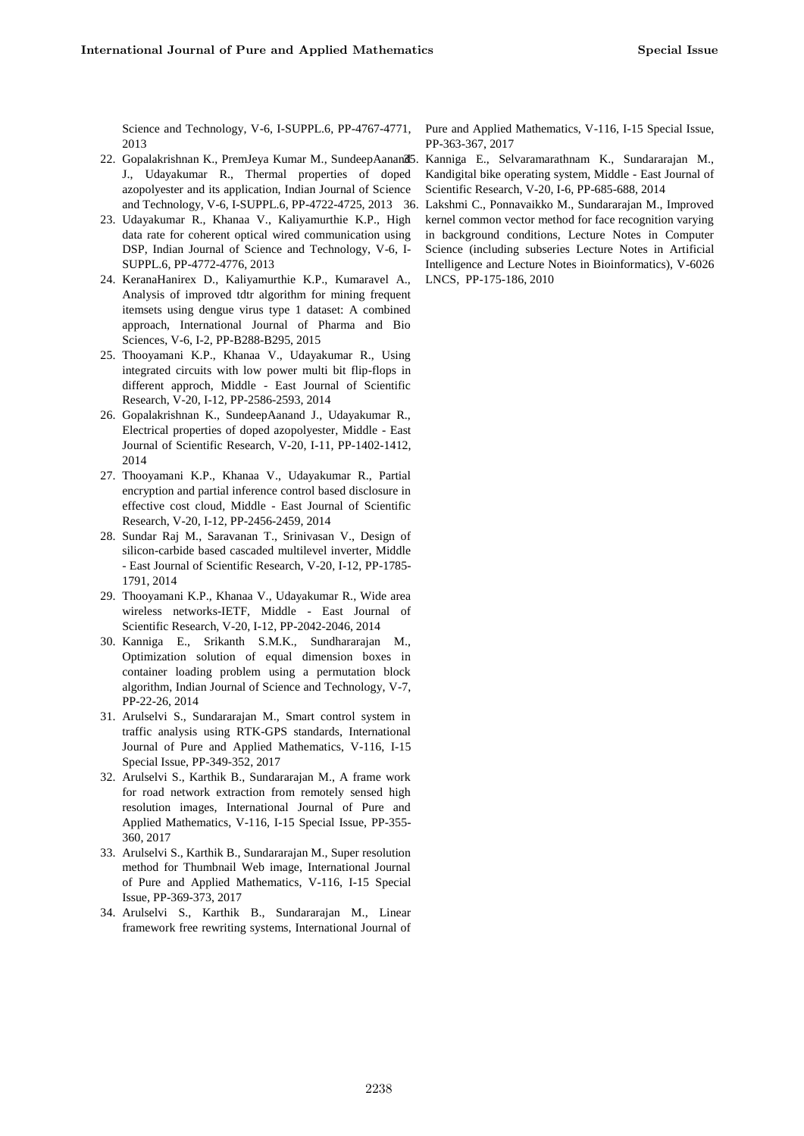Science and Technology, V-6, I-SUPPL.6, PP-4767-4771, 2013

- 22. Gopalakrishnan K., PremJeya Kumar M., SundeepAanand J., Udayakumar R., Thermal properties of doped azopolyester and its application, Indian Journal of Science and Technology, V-6, I-SUPPL.6, PP-4722-4725, 2013
- 23. Udayakumar R., Khanaa V., Kaliyamurthie K.P., High data rate for coherent optical wired communication using DSP, Indian Journal of Science and Technology, V-6, I-SUPPL.6, PP-4772-4776, 2013
- 24. KeranaHanirex D., Kaliyamurthie K.P., Kumaravel A., Analysis of improved tdtr algorithm for mining frequent itemsets using dengue virus type 1 dataset: A combined approach, International Journal of Pharma and Bio Sciences, V-6, I-2, PP-B288-B295, 2015
- 25. Thooyamani K.P., Khanaa V., Udayakumar R., Using integrated circuits with low power multi bit flip-flops in different approch, Middle - East Journal of Scientific Research, V-20, I-12, PP-2586-2593, 2014
- 26. Gopalakrishnan K., SundeepAanand J., Udayakumar R., Electrical properties of doped azopolyester, Middle - East Journal of Scientific Research, V-20, I-11, PP-1402-1412, 2014
- 27. Thooyamani K.P., Khanaa V., Udayakumar R., Partial encryption and partial inference control based disclosure in effective cost cloud, Middle - East Journal of Scientific Research, V-20, I-12, PP-2456-2459, 2014
- 28. Sundar Raj M., Saravanan T., Srinivasan V., Design of silicon-carbide based cascaded multilevel inverter, Middle - East Journal of Scientific Research, V-20, I-12, PP-1785- 1791, 2014
- 29. Thooyamani K.P., Khanaa V., Udayakumar R., Wide area wireless networks-IETF, Middle - East Journal of Scientific Research, V-20, I-12, PP-2042-2046, 2014
- 30. Kanniga E., Srikanth S.M.K., Sundhararajan M., Optimization solution of equal dimension boxes in container loading problem using a permutation block algorithm, Indian Journal of Science and Technology, V-7, PP-22-26, 2014
- 31. Arulselvi S., Sundararajan M., Smart control system in traffic analysis using RTK-GPS standards, International Journal of Pure and Applied Mathematics, V-116, I-15 Special Issue, PP-349-352, 2017
- 32. Arulselvi S., Karthik B., Sundararajan M., A frame work for road network extraction from remotely sensed high resolution images, International Journal of Pure and Applied Mathematics, V-116, I-15 Special Issue, PP-355- 360, 2017
- 33. Arulselvi S., Karthik B., Sundararajan M., Super resolution method for Thumbnail Web image, International Journal of Pure and Applied Mathematics, V-116, I-15 Special Issue, PP-369-373, 2017
- 34. Arulselvi S., Karthik B., Sundararajan M., Linear framework free rewriting systems, International Journal of

Pure and Applied Mathematics, V-116, I-15 Special Issue, PP-363-367, 2017

35. Kanniga E., Selvaramarathnam K., Sundararajan M., Kandigital bike operating system, Middle - East Journal of Scientific Research, V-20, I-6, PP-685-688, 2014

Lakshmi C., Ponnavaikko M., Sundararajan M., Improved kernel common vector method for face recognition varying in background conditions, Lecture Notes in Computer Science (including subseries Lecture Notes in Artificial Intelligence and Lecture Notes in Bioinformatics), V-6026 LNCS, PP-175-186, 2010